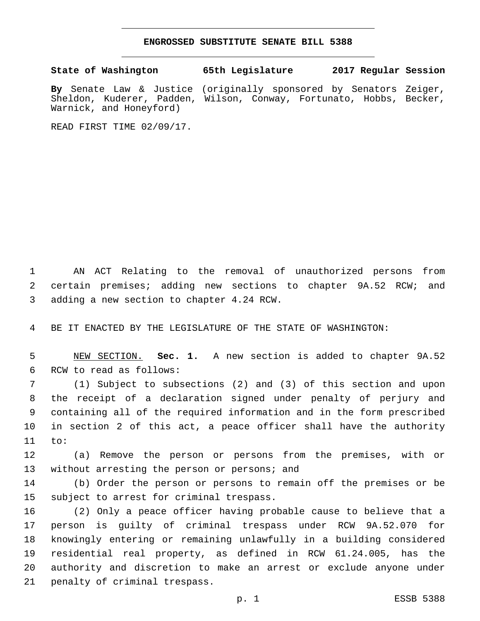## **ENGROSSED SUBSTITUTE SENATE BILL 5388**

**State of Washington 65th Legislature 2017 Regular Session**

**By** Senate Law & Justice (originally sponsored by Senators Zeiger, Sheldon, Kuderer, Padden, Wilson, Conway, Fortunato, Hobbs, Becker, Warnick, and Honeyford)

READ FIRST TIME 02/09/17.

1 AN ACT Relating to the removal of unauthorized persons from 2 certain premises; adding new sections to chapter 9A.52 RCW; and 3 adding a new section to chapter 4.24 RCW.

4 BE IT ENACTED BY THE LEGISLATURE OF THE STATE OF WASHINGTON:

5 NEW SECTION. **Sec. 1.** A new section is added to chapter 9A.52 6 RCW to read as follows:

 (1) Subject to subsections (2) and (3) of this section and upon the receipt of a declaration signed under penalty of perjury and containing all of the required information and in the form prescribed in section 2 of this act, a peace officer shall have the authority 11 to:

12 (a) Remove the person or persons from the premises, with or 13 without arresting the person or persons; and

14 (b) Order the person or persons to remain off the premises or be 15 subject to arrest for criminal trespass.

 (2) Only a peace officer having probable cause to believe that a person is guilty of criminal trespass under RCW 9A.52.070 for knowingly entering or remaining unlawfully in a building considered residential real property, as defined in RCW 61.24.005, has the authority and discretion to make an arrest or exclude anyone under 21 penalty of criminal trespass.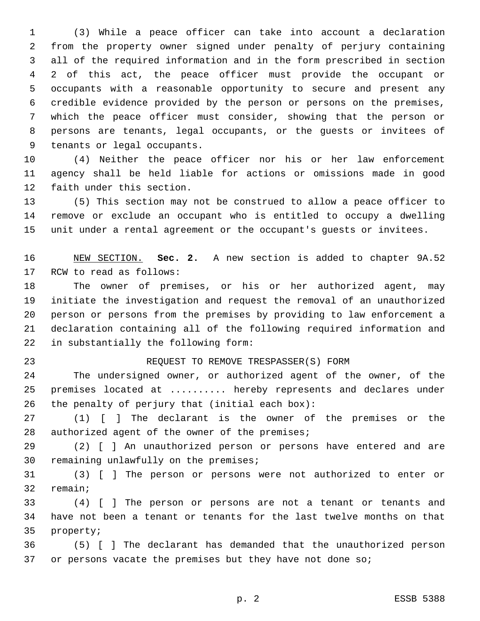(3) While a peace officer can take into account a declaration from the property owner signed under penalty of perjury containing all of the required information and in the form prescribed in section 2 of this act, the peace officer must provide the occupant or occupants with a reasonable opportunity to secure and present any credible evidence provided by the person or persons on the premises, which the peace officer must consider, showing that the person or persons are tenants, legal occupants, or the guests or invitees of 9 tenants or legal occupants.

 (4) Neither the peace officer nor his or her law enforcement agency shall be held liable for actions or omissions made in good 12 faith under this section.

 (5) This section may not be construed to allow a peace officer to remove or exclude an occupant who is entitled to occupy a dwelling unit under a rental agreement or the occupant's guests or invitees.

 NEW SECTION. **Sec. 2.** A new section is added to chapter 9A.52 17 RCW to read as follows:

 The owner of premises, or his or her authorized agent, may initiate the investigation and request the removal of an unauthorized person or persons from the premises by providing to law enforcement a declaration containing all of the following required information and 22 in substantially the following form:

## REQUEST TO REMOVE TRESPASSER(S) FORM

 The undersigned owner, or authorized agent of the owner, of the premises located at .......... hereby represents and declares under 26 the penalty of perjury that (initial each box):

 (1) [ ] The declarant is the owner of the premises or the 28 authorized agent of the owner of the premises;

 (2) [ ] An unauthorized person or persons have entered and are 30 remaining unlawfully on the premises;

 (3) [ ] The person or persons were not authorized to enter or 32 remain;

 (4) [ ] The person or persons are not a tenant or tenants and have not been a tenant or tenants for the last twelve months on that 35 property;

 (5) [ ] The declarant has demanded that the unauthorized person or persons vacate the premises but they have not done so;